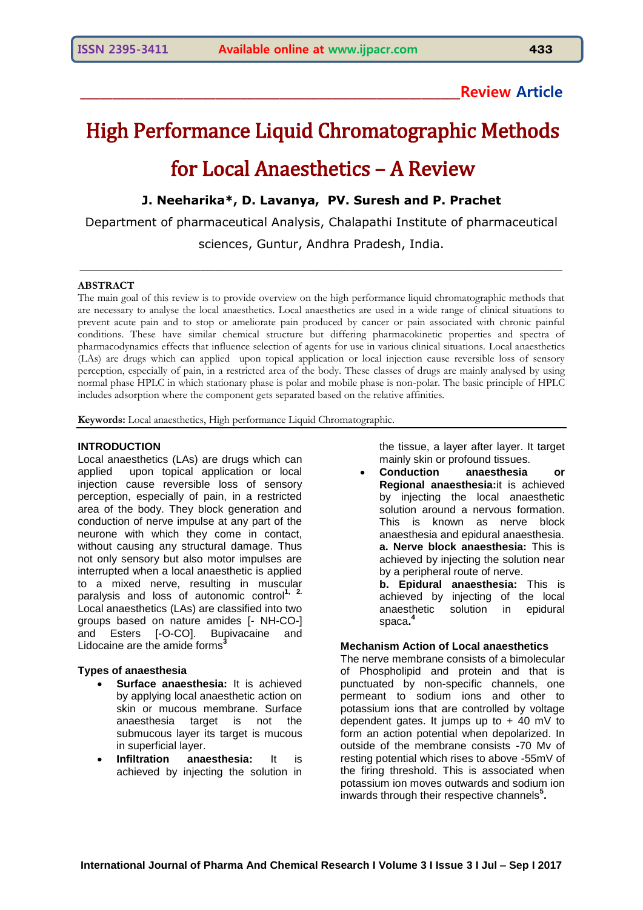# High Performance Liquid Chromatographic Methods for Local Anaesthetics – A Review

## **J. Neeharika\*, D. Lavanya, PV. Suresh and P. Prachet**

Department of pharmaceutical Analysis, Chalapathi Institute of pharmaceutical sciences, Guntur, Andhra Pradesh, India.

\_\_\_\_\_\_\_\_\_\_\_\_\_\_\_\_\_\_\_\_\_\_\_\_\_\_\_\_\_\_\_\_\_\_\_\_\_\_\_\_\_\_\_\_\_\_\_\_\_\_\_\_\_\_\_\_\_\_\_\_\_\_\_\_

#### **ABSTRACT**

The main goal of this review is to provide overview on the high performance liquid chromatographic methods that are necessary to analyse the local anaesthetics. Local anaesthetics are used in a wide range of clinical situations to prevent acute pain and to stop or ameliorate pain produced by cancer or pain associated with chronic painful conditions. These have similar chemical structure but differing pharmacokinetic properties and spectra of pharmacodynamics effects that influence selection of agents for use in various clinical situations. Local anaesthetics (LAs) are drugs which can applied upon topical application or local injection cause reversible loss of sensory perception, especially of pain, in a restricted area of the body. These classes of drugs are mainly analysed by using normal phase HPLC in which stationary phase is polar and mobile phase is non-polar. The basic principle of HPLC includes adsorption where the component gets separated based on the relative affinities.

**Keywords:** Local anaesthetics, High performance Liquid Chromatographic.

#### **INTRODUCTION**

Local anaesthetics (LAs) are drugs which can applied upon topical application or local injection cause reversible loss of sensory perception, especially of pain, in a restricted area of the body. They block generation and conduction of nerve impulse at any part of the neurone with which they come in contact, without causing any structural damage. Thus not only sensory but also motor impulses are interrupted when a local anaesthetic is applied to a mixed nerve, resulting in muscular paralysis and loss of autonomic control<sup>1, 2.</sup> Local anaesthetics (LAs) are classified into two groups based on nature amides [- NH-CO-] and Esters [-O-CO]. Bupivacaine and Lidocaine are the amide forms**<sup>3</sup>**

## **Types of anaesthesia**

- **Surface anaesthesia:** It is achieved by applying local anaesthetic action on skin or mucous membrane. Surface anaesthesia target is not the submucous layer its target is mucous in superficial layer.
- **Infiltration anaesthesia:** It is achieved by injecting the solution in

the tissue, a layer after layer. It target mainly skin or profound tissues.

 **Conduction anaesthesia or Regional anaesthesia:**it is achieved by injecting the local anaesthetic solution around a nervous formation. This is known as nerve block anaesthesia and epidural anaesthesia. **a. Nerve block anaesthesia:** This is achieved by injecting the solution near by a peripheral route of nerve.

**b. Epidural anaesthesia:** This is achieved by injecting of the local anaesthetic solution in epidural spaca**. 4**

#### **Mechanism Action of Local anaesthetics**

The nerve membrane consists of a bimolecular of Phospholipid and protein and that is punctuated by non-specific channels, one permeant to sodium ions and other to potassium ions that are controlled by voltage dependent gates. It jumps up to  $+40$  mV to form an action potential when depolarized. In outside of the membrane consists -70 Mv of resting potential which rises to above -55mV of the firing threshold. This is associated when potassium ion moves outwards and sodium ion inwards through their respective channels**<sup>5</sup> .**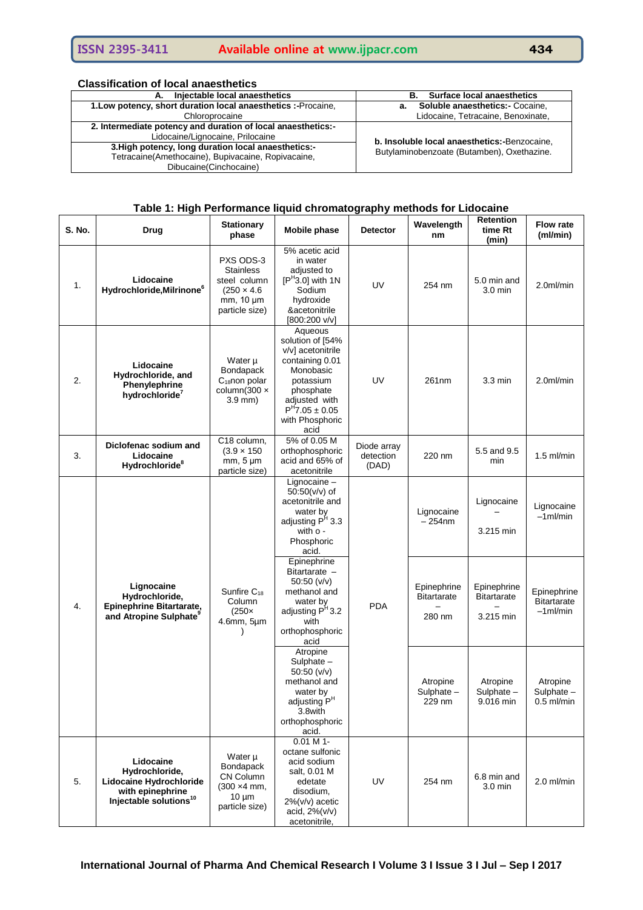## **Classification of local anaesthetics**

| Injectable local anaesthetics<br>А.                            | <b>Surface local anaesthetics</b><br>В.      |  |  |  |
|----------------------------------------------------------------|----------------------------------------------|--|--|--|
| 1. Low potency, short duration local anaesthetics :- Procaine, | <b>Soluble anaesthetics:- Cocaine,</b><br>а. |  |  |  |
| Chloroprocaine                                                 | Lidocaine, Tetracaine, Benoxinate,           |  |  |  |
| 2. Intermediate potency and duration of local anaesthetics:-   |                                              |  |  |  |
| Lidocaine/Lignocaine, Prilocaine                               | b. Insoluble local anaesthetics:-Benzocaine, |  |  |  |
| 3. High potency, long duration local anaesthetics:-            | Butylaminobenzoate (Butamben), Oxethazine.   |  |  |  |
| Tetracaine(Amethocaine), Bupivacaine, Ropivacaine,             |                                              |  |  |  |
| Dibucaine (Cinchocaine)                                        |                                              |  |  |  |

# **Table 1: High Performance liquid chromatography methods for Lidocaine**

| S. No. | <b>Drug</b>                                                                                                      | <b>Stationary</b><br>phase                                                                              | <b>Mobile phase</b>                                                                                                                                                         | <b>Detector</b>                   | Wavelength<br>nm                            | <b>Retention</b><br>time Rt<br>(min)           | <b>Flow rate</b><br>(ml/min)                     |
|--------|------------------------------------------------------------------------------------------------------------------|---------------------------------------------------------------------------------------------------------|-----------------------------------------------------------------------------------------------------------------------------------------------------------------------------|-----------------------------------|---------------------------------------------|------------------------------------------------|--------------------------------------------------|
| 1.     | Lidocaine<br>Hydrochloride, Milrinone <sup>6</sup>                                                               | PXS ODS-3<br><b>Stainless</b><br>steel column<br>$(250 \times 4.6)$<br>$mm, 10 \mu m$<br>particle size) | 5% acetic acid<br>in water<br>adjusted to<br>$[PH3.0]$ with 1N<br>Sodium<br>hydroxide<br>&acetonitrile<br>$[800:200 \text{ v/v}]$                                           | UV                                | 254 nm                                      | 5.0 min and<br>$3.0 \text{ min}$               | 2.0 <sub>m</sub> /min                            |
| 2.     | Lidocaine<br>Hydrochloride, and<br>Phenylephrine<br>hydrochloride <sup>7</sup>                                   | Water µ<br><b>Bondapack</b><br>$C_{18}$ non polar<br>column(300 $\times$<br>$3.9 \text{ mm}$            | Aqueous<br>solution of [54%<br>v/v] acetonitrile<br>containing 0.01<br>Monobasic<br>potassium<br>phosphate<br>adjusted with<br>$P^H$ 7.05 ± 0.05<br>with Phosphoric<br>acid | UV                                | 261nm                                       | $3.3 \text{ min}$                              | 2.0ml/min                                        |
| 3.     | Diclofenac sodium and<br>Lidocaine<br>Hydrochloride <sup>8</sup>                                                 | C18 column,<br>$(3.9 \times 150)$<br>$mm, 5 \mu m$<br>particle size)                                    | 5% of 0.05 M<br>orthophosphoric<br>acid and 65% of<br>acetonitrile                                                                                                          | Diode array<br>detection<br>(DAD) | 220 nm                                      | 5.5 and 9.5<br>min                             | 1.5 ml/min                                       |
| 4.     | Lignocaine<br>Hydrochloride,<br>Epinephrine Bitartarate,<br>and Atropine Sulphate <sup>9</sup>                   | Sunfire $C_{18}$<br>Column<br>(250x<br>$4.6$ mm, $5 \mu m$                                              | Lignocaine -<br>50:50(v/v) of<br>acetonitrile and<br>water by<br>adjusting P <sup>H</sup> 3.3<br>with o -<br>Phosphoric<br>acid.                                            | <b>PDA</b>                        | Lignocaine<br>$-254$ nm                     | Lignocaine<br>3.215 min                        | Lignocaine<br>$-1$ ml/min                        |
|        |                                                                                                                  |                                                                                                         | Epinephrine<br>Bitartarate -<br>50:50 (v/v)<br>methanol and<br>water by<br>adjusting P <sup>H</sup> 3.2<br>with<br>orthophosphoric<br>acid                                  |                                   | Epinephrine<br><b>Bitartarate</b><br>280 nm | Epinephrine<br><b>Bitartarate</b><br>3.215 min | Epinephrine<br><b>Bitartarate</b><br>$-1$ ml/min |
|        |                                                                                                                  |                                                                                                         | Atropine<br>Sulphate -<br>50:50 (v/v)<br>methanol and<br>water by<br>adjusting PH<br>3.8with<br>orthophosphoric<br>acid.                                                    |                                   | Atropine<br>Sulphate –<br>229 nm            | Atropine<br>Sulphate -<br>9.016 min            | Atropine<br>Sulphate -<br>$0.5$ ml/min           |
| 5.     | Lidocaine<br>Hydrochloride,<br>Lidocaine Hydrochloride<br>with epinephrine<br>Injectable solutions <sup>10</sup> | Water µ<br><b>Bondapack</b><br>CN Column<br>(300 × 4 mm,<br>$10 \mu m$<br>particle size)                | $0.01 M1 -$<br>octane sulfonic<br>acid sodium<br>salt, 0.01 M<br>edetate<br>disodium,<br>$2\%$ (v/v) acetic<br>acid, 2%(v/v)<br>acetonitrile,                               | <b>UV</b>                         | 254 nm                                      | 6.8 min and<br>$3.0 \text{ min}$               | $2.0$ ml/min                                     |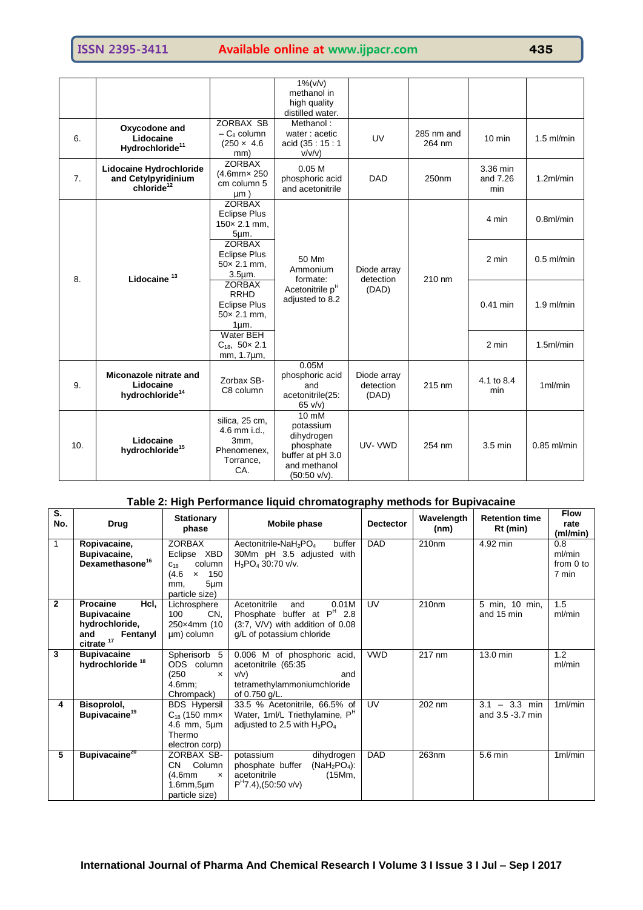# **ISSN 2395-3411 Available online at www.ijpacr.com 435**

|                |                                                                          |                                                                                   | $1\%$ (v/v)<br>methanol in<br>high quality<br>distilled water.                                              |                                   |                      |                             |               |
|----------------|--------------------------------------------------------------------------|-----------------------------------------------------------------------------------|-------------------------------------------------------------------------------------------------------------|-----------------------------------|----------------------|-----------------------------|---------------|
| 6.             | Oxycodone and<br>Lidocaine<br>Hydrochloride <sup>11</sup>                | <b>ZORBAX SB</b><br>$-C_8$ column<br>$(250 \times 4.6)$<br>mm)                    | Methanol:<br>water: acetic<br>acid (35:15:1<br>V/V/V)                                                       | <b>UV</b>                         | 285 nm and<br>264 nm | $10 \text{ min}$            | $1.5$ ml/min  |
| 7 <sub>1</sub> | Lidocaine Hydrochloride<br>and Cetylpyridinium<br>chloride <sup>12</sup> | <b>ZORBAX</b><br>(4.6mm× 250<br>cm column 5<br>µm)                                | 0.05 <sub>M</sub><br>phosphoric acid<br>and acetonitrile                                                    | <b>DAD</b>                        | 250 <sub>nm</sub>    | 3.36 min<br>and 7.26<br>min | $1.2$ ml/min  |
| 8.             | Lidocaine <sup>13</sup>                                                  | <b>ZORBAX</b><br><b>Eclipse Plus</b><br>150×2.1 mm,<br>5µm.                       | 50 Mm<br>Ammonium<br>formate:<br>Acetonitrile p <sup>H</sup><br>adjusted to 8.2                             | Diode array<br>detection<br>(DAD) | 210 nm               | 4 min                       | $0.8$ ml/min  |
|                |                                                                          | <b>ZORBAX</b><br><b>Eclipse Plus</b><br>50× 2.1 mm,<br>$3.5µ$ m.                  |                                                                                                             |                                   |                      | 2 min                       | $0.5$ ml/min  |
|                |                                                                          | <b>ZORBAX</b><br><b>RRHD</b><br><b>Eclipse Plus</b><br>50× 2.1 mm,<br>$1 \mu m$ . |                                                                                                             |                                   |                      | $0.41$ min                  | $1.9$ ml/min  |
|                |                                                                          | <b>Water BEH</b><br>$C_{18}$ , 50 $\times$ 2.1<br>mm, 1.7µm,                      |                                                                                                             |                                   |                      | 2 min                       | $1.5$ ml/min  |
| 9.             | Miconazole nitrate and<br>Lidocaine<br>hydrochloride <sup>14</sup>       | Zorbax SB-<br>C8 column                                                           | 0.05M<br>phosphoric acid<br>and<br>acetonitrile(25:<br>65 $v/v$ )                                           | Diode array<br>detection<br>(DAD) | $215 \text{ nm}$     | 4.1 to 8.4<br>min           | $1m$ /min     |
| 10.            | Lidocaine<br>hydrochloride <sup>15</sup>                                 | silica, 25 cm,<br>4.6 mm i.d.,<br>3mm,<br>Phenomenex,<br>Torrance,<br>CA.         | 10 mM<br>potassium<br>dihydrogen<br>phosphate<br>buffer at pH 3.0<br>and methanol<br>$(50:50 \text{ v/v}).$ | UV- VWD                           | 254 nm               | $3.5 \text{ min}$           | $0.85$ ml/min |

## **Table 2: High Performance liquid chromatography methods for Bupivacaine**

| S.<br>No.      | Drug                                        | <b>Stationary</b><br>phase         | Mobile phase                                                                         | <b>Dectector</b> | Wavelength<br>(nm) | <b>Retention time</b><br>Rt (min) | <b>Flow</b><br>rate<br>(ml/min) |
|----------------|---------------------------------------------|------------------------------------|--------------------------------------------------------------------------------------|------------------|--------------------|-----------------------------------|---------------------------------|
| $\mathbf{1}$   | Ropivacaine,                                | <b>ZORBAX</b><br>Eclipse XBD       | Aectonitrile-NaH <sub>2</sub> PO <sub>4</sub><br>buffer<br>30Mm pH 3.5 adjusted with | <b>DAD</b>       | 210 <sub>nm</sub>  | 4.92 min                          | 0.8<br>ml/min                   |
|                | Bupivacaine,<br>Dexamethasone <sup>16</sup> | column<br>$C_{18}$                 | $H_3PO_4$ 30:70 v/v.                                                                 |                  |                    |                                   | from $0$ to                     |
|                |                                             | (4.6)<br>$\times$ 150              |                                                                                      |                  |                    |                                   | 7 min                           |
|                |                                             | $5 \mu m$<br>mm.<br>particle size) |                                                                                      |                  |                    |                                   |                                 |
| $\overline{2}$ | Hcl,<br>Procaine                            | Lichrosphere                       | Acetonitrile<br>0.01M<br>and                                                         | UV               | 210 <sub>nm</sub>  | 5 min, 10 min,                    | 1.5                             |
|                | <b>Bupivacaine</b>                          | CN,<br>100                         | Phosphate buffer at P <sup>H</sup> 2.8                                               |                  |                    | and 15 min                        | ml/min                          |
|                | hydrochloride,<br>and<br>Fentanyl           | 250×4mm (10<br>um) column          | $(3.7, V/V)$ with addition of 0.08<br>g/L of potassium chloride                      |                  |                    |                                   |                                 |
|                | $c$ itrate $17$                             |                                    |                                                                                      |                  |                    |                                   |                                 |
| 3              | <b>Bupivacaine</b>                          | Spherisorb 5                       | 0.006 M of phosphoric acid,                                                          | <b>VWD</b>       | 217 nm             | $13.0 \text{ min}$                | 1.2                             |
|                | hydrochloride <sup>18</sup>                 | ODS column                         | acetonitrile (65:35                                                                  |                  |                    |                                   | ml/min                          |
|                |                                             | (250<br>$\mathbf{x}$<br>4.6mm:     | V/V<br>and                                                                           |                  |                    |                                   |                                 |
|                |                                             | Chrompack)                         | tetramethylammoniumchloride<br>of 0.750 g/L.                                         |                  |                    |                                   |                                 |
| 4              | <b>Bisoprolol,</b>                          | <b>BDS</b> Hypersil                | 33.5 % Acetonitrile, 66.5% of                                                        | UV               | 202 nm             | $3.1 - 3.3$ min                   | $1m$ /min                       |
|                | Bupivacaine <sup>19</sup>                   | $C_{18}$ (150 mm $x$ )             | Water, 1ml/L Triethylamine, P <sup>H</sup>                                           |                  |                    | and 3.5 -3.7 min                  |                                 |
|                |                                             | 4.6 mm, 5µm                        | adjusted to 2.5 with $H_3PO_4$                                                       |                  |                    |                                   |                                 |
|                |                                             | Thermo                             |                                                                                      |                  |                    |                                   |                                 |
| 5              | Bupivacaine <sup>20</sup>                   | electron corp)<br>ZORBAX SB-       | potassium<br>dihydrogen                                                              | <b>DAD</b>       | 263nm              | 5.6 min                           | $1m$ /min                       |
|                |                                             | CN Column                          | phosphate buffer<br>$(NaH2PO4)$ :                                                    |                  |                    |                                   |                                 |
|                |                                             | (4.6mm<br>$\mathbf{x}$             | acetonitrile<br>(15Mm,                                                               |                  |                    |                                   |                                 |
|                |                                             | $1.6$ mm $,5$ um                   | $PH7.4$ , (50:50 v/v)                                                                |                  |                    |                                   |                                 |
|                |                                             | particle size)                     |                                                                                      |                  |                    |                                   |                                 |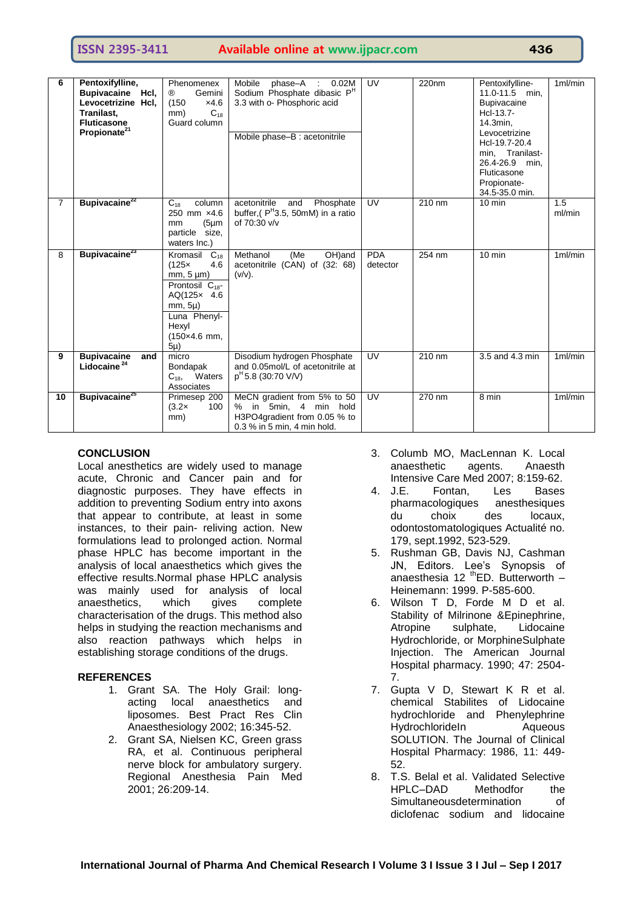**ISSN 2395-3411 Available online at www.ijpacr.com 436**

| 6              | Pentoxifylline,<br>Bupivacaine Hcl,<br>Levocetrizine Hcl,<br>Tranilast.<br><b>Fluticasone</b><br>Propionate <sup>21</sup> | Phenomenex<br>Gemini<br>®<br>(150)<br>x4.6<br>$C_{18}$<br>mm)<br>Guard column                                                                                         | Mobile<br>phase- $A : 0.02M$<br>Sodium Phosphate dibasic PH<br>3.3 with o- Phosphoric acid<br>Mobile phase-B : acetonitrile | UV                     | 220 <sub>nm</sub> | Pentoxifylline-<br>11.0-11.5 min.<br><b>Bupivacaine</b><br>Hcl-13.7-<br>14.3min.<br>Levocetrizine<br>Hcl-19.7-20.4<br>min, Tranilast-<br>26.4-26.9<br>min,<br>Fluticasone<br>Propionate-<br>34.5-35.0 min. | $1m$ /min     |
|----------------|---------------------------------------------------------------------------------------------------------------------------|-----------------------------------------------------------------------------------------------------------------------------------------------------------------------|-----------------------------------------------------------------------------------------------------------------------------|------------------------|-------------------|------------------------------------------------------------------------------------------------------------------------------------------------------------------------------------------------------------|---------------|
| $\overline{7}$ | Bupivacaine <sup>22</sup>                                                                                                 | $C_{18}$<br>column<br>250 mm ×4.6<br>$(5 \mu m)$<br>mm<br>particle size,<br>waters Inc.)                                                                              | acetonitrile<br>and<br>Phosphate<br>buffer, (P <sup>H</sup> 3.5, 50mM) in a ratio<br>of 70:30 v/v                           | UV                     | 210 nm            | $10 \text{ min}$                                                                                                                                                                                           | 1.5<br>ml/min |
| 8              | Bupivacaine <sup>23</sup>                                                                                                 | Kromasil $C_{18}$<br>(125x<br>4.6<br>$mm, 5 \mu m)$<br>Prontosil C <sub>18</sub> -<br>AQ(125x 4.6<br>$mm, 5\mu)$<br>Luna Phenyl-<br>Hexyl<br>(150×4.6 mm,<br>$5\mu$ ) | Methanol<br>(Me<br>OH)and<br>acetonitrile (CAN) of (32: 68)<br>$(v/v)$ .                                                    | <b>PDA</b><br>detector | 254 nm            | $10$ min                                                                                                                                                                                                   | $1m$ /min     |
| 9              | <b>Bupivacaine</b><br>and<br>Lidocaine <sup>24</sup>                                                                      | micro<br>Bondapak<br>$C_{18}$ , Waters<br>Associates                                                                                                                  | Disodium hydrogen Phosphate<br>and 0.05mol/L of acetonitrile at<br>p <sup>H</sup> 5.8 (30:70 V/V)                           | UV                     | 210 nm            | 3.5 and 4.3 min                                                                                                                                                                                            | $1m$ /min     |
| 10             | Bupivacaine <sup>25</sup>                                                                                                 | Primesep 200<br>(3.2x)<br>100<br>mm)                                                                                                                                  | MeCN gradient from 5% to 50<br>% in 5min, 4 min hold<br>H3PO4gradient from 0.05 % to<br>0.3 % in 5 min, 4 min hold.         | UV                     | 270 nm            | 8 min                                                                                                                                                                                                      | $1m$ /min     |

## **CONCLUSION**

Local anesthetics are widely used to manage acute, Chronic and Cancer pain and for diagnostic purposes. They have effects in addition to preventing Sodium entry into axons that appear to contribute, at least in some instances, to their pain- reliving action. New formulations lead to prolonged action. Normal phase HPLC has become important in the analysis of local anaesthetics which gives the effective results.Normal phase HPLC analysis was mainly used for analysis of local anaesthetics, which gives complete characterisation of the drugs. This method also helps in studying the reaction mechanisms and also reaction pathways which helps in establishing storage conditions of the drugs.

## **REFERENCES**

- 1. Grant SA. The Holy Grail: longacting local anaesthetics and liposomes. Best Pract Res Clin Anaesthesiology 2002; 16:345-52.
- 2. Grant SA, Nielsen KC, Green grass RA, et al. Continuous peripheral nerve block for ambulatory surgery. Regional Anesthesia Pain Med 2001; 26:209-14.
- 3. Columb MO, MacLennan K. Local anaesthetic agents. Anaesth Intensive Care Med 2007; 8:159-62.
- 4. J.E. Fontan, Les Bases pharmacologiques anesthesiques du choix des locaux, odontostomatologiques Actualité no. 179, sept.1992, 523-529.
- 5. Rushman GB, Davis NJ, Cashman JN, Editors. Lee's Synopsis of anaesthesia 12  $<sup>th</sup>ED$ . Butterworth –</sup> Heinemann: 1999. P-585-600.
- 6. Wilson T D, Forde M D et al. Stability of Milrinone &Epinephrine, Atropine sulphate, Lidocaine Hydrochloride, or MorphineSulphate Injection. The American Journal Hospital pharmacy. 1990; 47: 2504- 7.
- 7. Gupta V D, Stewart K R et al. chemical Stabilites of Lidocaine hydrochloride and Phenylephrine HydrochlorideIn Aqueous SOLUTION. The Journal of Clinical Hospital Pharmacy: 1986, 11: 449- 52.
- 8. T.S. Belal et al. Validated Selective HPLC–DAD Methodfor the Simultaneousdetermination of diclofenac sodium and lidocaine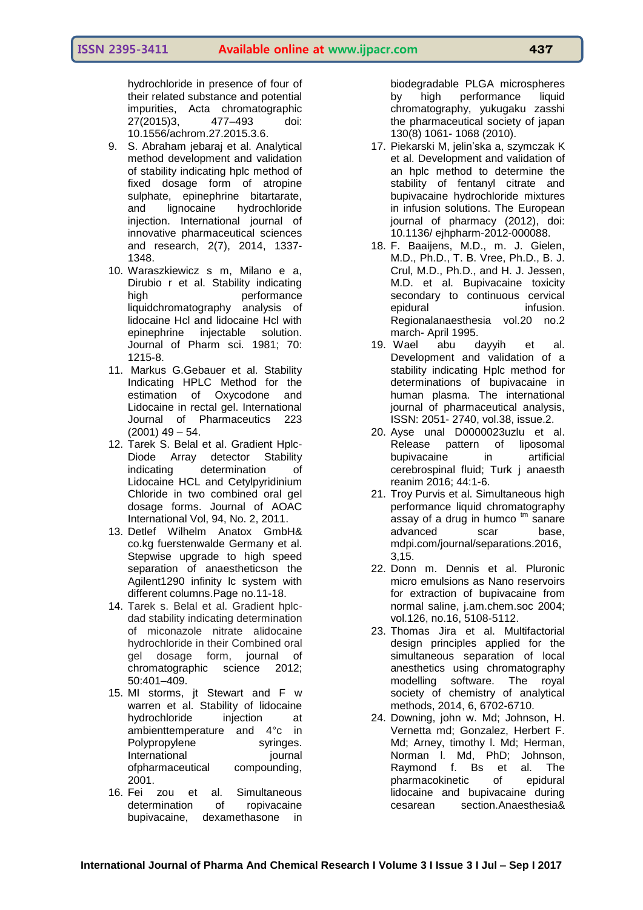hydrochloride in presence of four of their related substance and potential impurities, Acta chromatographic 27(2015)3, 477–493 doi: 10.1556/achrom.27.2015.3.6.

- 9. S. Abraham jebaraj et al. Analytical method development and validation of stability indicating hplc method of fixed dosage form of atropine sulphate, epinephrine bitartarate, and lignocaine hydrochloride injection. International journal of innovative pharmaceutical sciences and research, 2(7), 2014, 1337- 1348.
- 10. Waraszkiewicz s m, Milano e a, Dirubio r et al. Stability indicating high performance liquidchromatography analysis of lidocaine Hcl and lidocaine Hcl with epinephrine injectable solution. Journal of Pharm sci. 1981; 70: 1215-8.
- 11. Markus G.Gebauer et al. Stability Indicating HPLC Method for the estimation of Oxycodone and Lidocaine in rectal gel. International Journal of Pharmaceutics 223 (2001) 49 – 54.
- 12. Tarek S. Belal et al. Gradient Hplc-Diode Array detector Stability indicating determination of Lidocaine HCL and Cetylpyridinium Chloride in two combined oral gel dosage forms. Journal of AOAC International Vol, 94, No. 2, 2011.
- 13. Detlef Wilhelm Anatox GmbH& co.kg fuerstenwalde Germany et al. Stepwise upgrade to high speed separation of anaestheticson the Agilent1290 infinity lc system with different columns.Page no.11-18.
- 14. Tarek s. Belal et al. Gradient hplcdad stability indicating determination of miconazole nitrate alidocaine hydrochloride in their Combined oral gel dosage form, journal of chromatographic science 2012; 50:401–409.
- 15. MI storms, jt Stewart and F w warren et al. Stability of lidocaine hydrochloride injection at ambienttemperature and 4°c in Polypropylene syringes. International iournal ofpharmaceutical compounding, 2001.
- 16. Fei zou et al. Simultaneous determination of ropivacaine bupivacaine, dexamethasone in

biodegradable PLGA microspheres by high performance liquid chromatography, yukugaku zasshi the pharmaceutical society of japan 130(8) 1061- 1068 (2010).

- 17. Piekarski M, jelin'ska a, szymczak K et al. Development and validation of an hplc method to determine the stability of fentanyl citrate and bupivacaine hydrochloride mixtures in infusion solutions. The European journal of pharmacy (2012), doi: 10.1136/ ejhpharm-2012-000088.
- 18. F. Baaijens, M.D., m. J. Gielen, M.D., Ph.D., T. B. Vree, Ph.D., B. J. Crul, M.D., Ph.D., and H. J. Jessen, M.D. et al. Bupivacaine toxicity secondary to continuous cervical epidural infusion. Regionalanaesthesia vol.20 no.2 march- April 1995.
- 19. Wael abu dayyih et al. Development and validation of a stability indicating Hplc method for determinations of bupivacaine in human plasma. The international journal of pharmaceutical analysis, ISSN: 2051- 2740, vol.38, issue.2.
- 20. Ayse unal D0000023uzlu et al. Release pattern of liposomal bupivacaine in artificial cerebrospinal fluid; Turk j anaesth reanim 2016; 44:1-6.
- 21. Troy Purvis et al. Simultaneous high performance liquid chromatography assay of a drug in humco tm sanare advanced scar base, mdpi.com/journal/separations.2016, 3,15.
- 22. Donn m. Dennis et al. Pluronic micro emulsions as Nano reservoirs for extraction of bupivacaine from normal saline, j.am.chem.soc 2004; vol.126, no.16, 5108-5112.
- 23. Thomas Jira et al. Multifactorial design principles applied for the simultaneous separation of local anesthetics using chromatography modelling software. The royal society of chemistry of analytical methods, 2014, 6, 6702-6710.
- 24. Downing, john w. Md; Johnson, H. Vernetta md; Gonzalez, Herbert F. Md; Arney, timothy l. Md; Herman, Norman l. Md, PhD; Johnson, Raymond f. Bs et al. The pharmacokinetic of epidural lidocaine and bupivacaine during cesarean section.Anaesthesia&